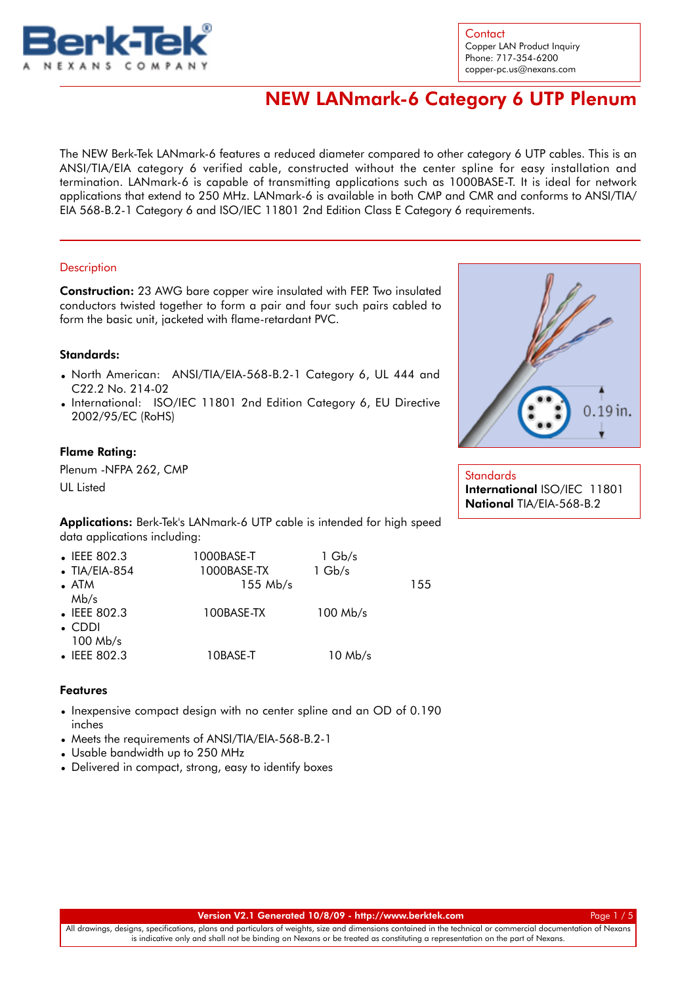

**Contact** Copper LAN Product Inquiry Phone: 717-354-6200 copper-pc.us@nexans.com

## NEW LANmark-6 Category 6 UTP Plenum

The NEW Berk-Tek LANmark-6 features a reduced diameter compared to other category 6 UTP cables. This is an ANSI/TIA/EIA category 6 verified cable, constructed without the center spline for easy installation and termination. LANmark-6 is capable of transmitting applications such as 1000BASE-T. It is ideal for network applications that extend to 250 MHz. LANmark-6 is available in both CMP and CMR and conforms to ANSI/TIA/ EIA 568-B.2-1 Category 6 and ISO/IEC 11801 2nd Edition Class E Category 6 requirements.

#### **Description**

Construction: 23 AWG bare copper wire insulated with FEP. Two insulated conductors twisted together to form a pair and four such pairs cabled to form the basic unit, jacketed with flame-retardant PVC.

#### Standards:

- North American: ANSI/TIA/EIA-568-B.2-1 Category 6, UL 444 and C22.2 No. 214-02
- $\bullet$  International:  $\,$  ISO/IEC 11801 2nd Edition Category 6, EU Directive 2002/95/EC (RoHS)

### Flame Rating:

Plenum -NFPA 262, CMP UL Listed



**Standards** International ISO/IEC 11801 National TIA/EIA-568-B.2

Applications: Berk-Tek's LANmark-6 UTP cable is intended for high speed data applications including:

| 1000BASE-T  | $1 \text{Gb/s}$ |     |
|-------------|-----------------|-----|
| 1000BASE-TX | $1$ Gb/s        |     |
| $155$ Mb/s  |                 | 155 |
|             |                 |     |
| 100BASE-TX  | $100$ Mb/s      |     |
|             |                 |     |
|             |                 |     |
| 10BASE-T    | $10$ Mb/s       |     |
|             |                 |     |

## Features

- $\bullet$  Inexpensive compact design with no center spline and an OD of 0.190 inches
- Meets the requirements of ANSI/TIA/EIA-568-B.2-1
- Usable bandwidth up to 250 MHz
- Delivered in compact, strong, easy to identify boxes

Version V2.1 Generated 10/8/09 - [http://www.berktek.com](http://www.nexans.com/eservice/DirectToFamily.nx?CZ=US&language=en&OID=7981) example and the Page 1 / 5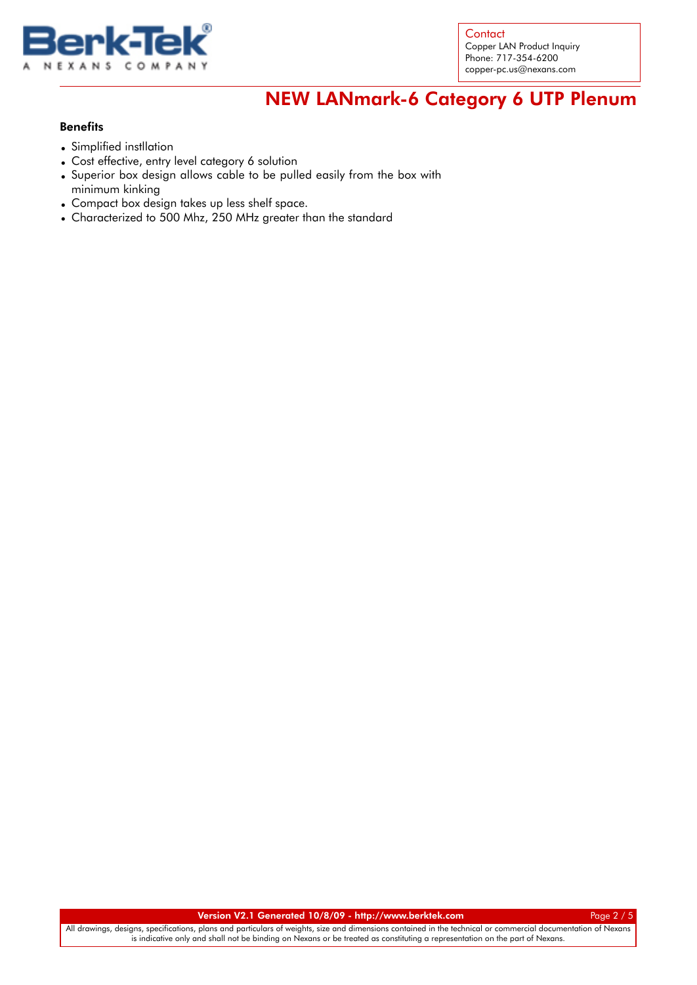

**Contact** Copper LAN Product Inquiry Phone: 717-354-6200 copper-pc.us@nexans.com

# NEW LANmark-6 Category 6 UTP Plenum

## **Benefits**

- Simplified instllation
- Cost effective, entry level category 6 solution
- Superior box design allows cable to be pulled easily from the box with minimum kinking •
- Compact box design takes up less shelf space.
- Characterized to 500 Mhz, 250 MHz greater than the standard

Version V2.1 Generated 10/8/09 - [http://www.berktek.com](http://www.nexans.com/eservice/DirectToFamily.nx?CZ=US&language=en&OID=7981) Page 2 / 5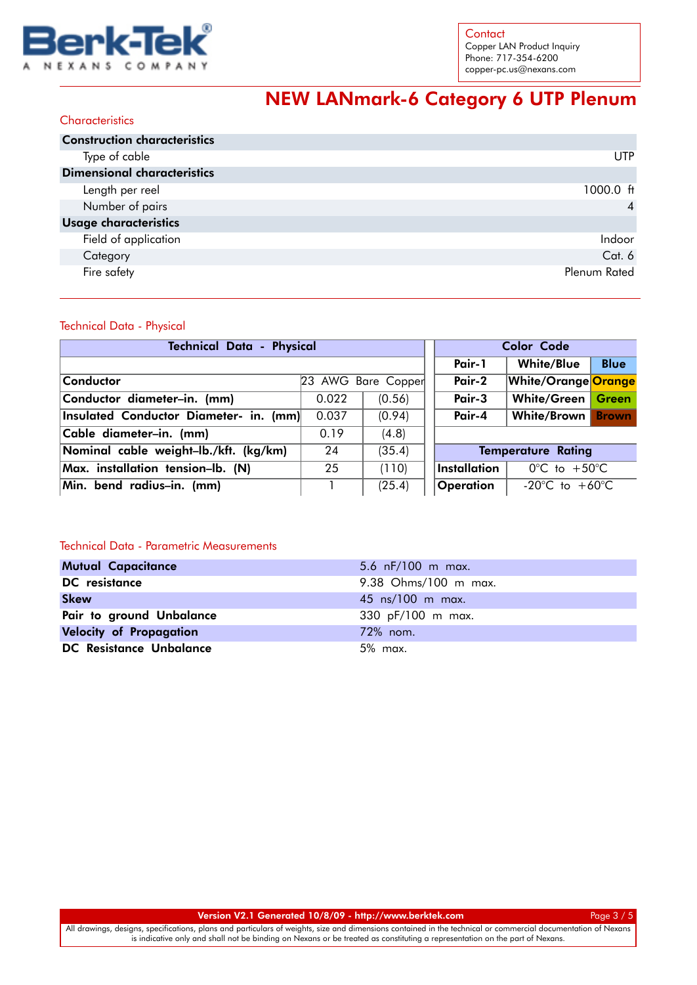

## NEW LANmark-6 Category 6 UTP Plenum

## **Characteristics**

| <b>Construction characteristics</b> |                     |
|-------------------------------------|---------------------|
| Type of cable                       | UTP                 |
| <b>Dimensional characteristics</b>  |                     |
| Length per reel                     | $1000.0 \text{ ft}$ |
| Number of pairs                     | $\overline{4}$      |
| <b>Usage characteristics</b>        |                     |
| Field of application                | Indoor              |
| Category                            | Cat. 6              |
| Fire safety                         | Plenum Rated        |

## Technical Data - Physical

| Technical Data - Physical              |        |                    |                                                         | Color Code  |                            |              |
|----------------------------------------|--------|--------------------|---------------------------------------------------------|-------------|----------------------------|--------------|
|                                        | Pair-1 |                    | <b>White/Blue</b>                                       | <b>Blue</b> |                            |              |
| Conductor                              |        | 23 AWG Bare Copper | Pair-2                                                  |             | <b>White/Orange Orange</b> |              |
| Conductor diameter-in. (mm)            | 0.022  | (0.56)             | Pair-3<br>White/Green                                   |             |                            | Green        |
| Insulated Conductor Diameter- in. (mm) | 0.037  | (0.94)             | Pair-4<br>White/Brown                                   |             |                            | <b>Brown</b> |
| Cable diameter-in. (mm)                | 0.19   | (4.8)              |                                                         |             |                            |              |
| Nominal cable weight-lb./kft. (kg/km)  | 24     | (35.4)             | <b>Temperature Rating</b>                               |             |                            |              |
| Max. installation tension-lb. (N)      | 25     | (110)              | <b>Installation</b><br>$0^{\circ}$ C to $+50^{\circ}$ C |             |                            |              |
| Min. bend radius-in. (mm)              |        | (25.4)             | <b>Operation</b><br>-20°C to $+60^{\circ}$ C            |             |                            |              |

### Technical Data - Parametric Measurements

| Mutual Capacitance             | 5.6 $nF/100$ m max.  |
|--------------------------------|----------------------|
| DC resistance                  | 9.38 Ohms/100 m max. |
| <b>Skew</b>                    | 45 ns/100 m max.     |
| Pair to ground Unbalance       | 330 pF/100 m max.    |
| Velocity of Propagation        | 72% nom.             |
| <b>DC Resistance Unbalance</b> | 5% max.              |

Version V2.1 Generated 10/8/09 - [http://www.berktek.com](http://www.nexans.com/eservice/DirectToFamily.nx?CZ=US&language=en&OID=7981) Page 3 / 5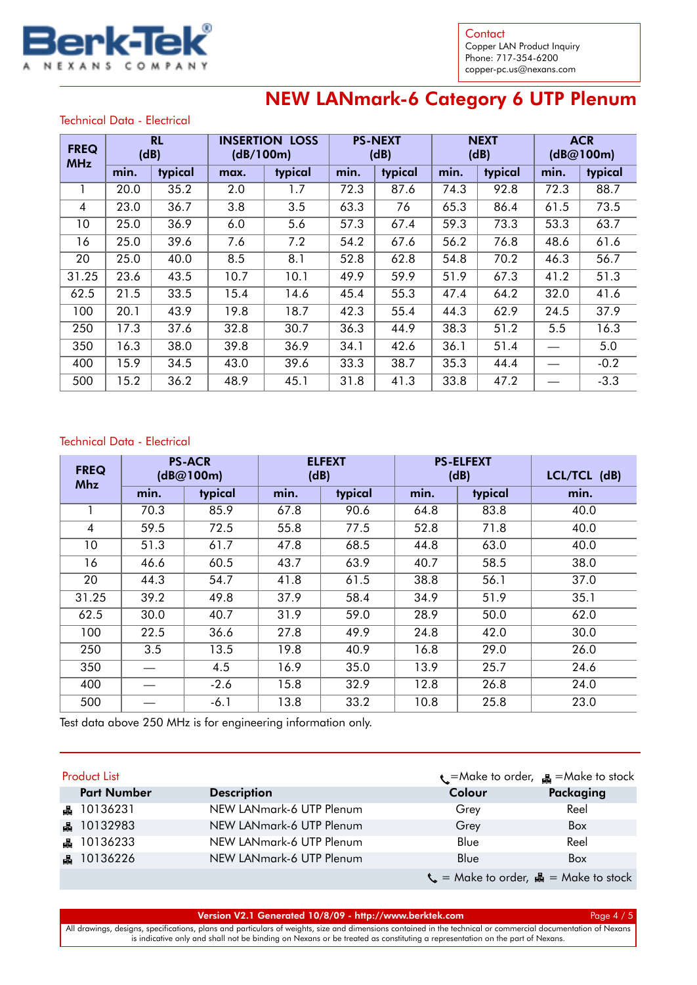

**Contact** Copper LAN Product Inquiry

Phone: 717-354-6200 copper-pc.us@nexans.com

## NEW LANmark-6 Category 6 UTP Plenum

### Technical Data - Electrical

| <b>FREQ</b><br><b>MHz</b> | <b>RL</b><br>(dB) |         | <b>INSERTION LOSS</b><br>(dB/100m) |         | <b>PS-NEXT</b><br>(dB) |         |      |         |      | <b>NEXT</b><br>(dB) |  | <b>ACR</b><br>(dB@100m) |
|---------------------------|-------------------|---------|------------------------------------|---------|------------------------|---------|------|---------|------|---------------------|--|-------------------------|
|                           | min.              | typical | max.                               | typical | min.                   | typical | min. | typical | min. | typical             |  |                         |
|                           | 20.0              | 35.2    | 2.0                                | 1.7     | 72.3                   | 87.6    | 74.3 | 92.8    | 72.3 | 88.7                |  |                         |
| 4                         | 23.0              | 36.7    | 3.8                                | 3.5     | 63.3                   | 76      | 65.3 | 86.4    | 61.5 | 73.5                |  |                         |
| 10                        | 25.0              | 36.9    | 6.0                                | 5.6     | 57.3                   | 67.4    | 59.3 | 73.3    | 53.3 | 63.7                |  |                         |
| 16                        | 25.0              | 39.6    | 7.6                                | 7.2     | 54.2                   | 67.6    | 56.2 | 76.8    | 48.6 | 61.6                |  |                         |
| 20                        | 25.0              | 40.0    | 8.5                                | 8.1     | 52.8                   | 62.8    | 54.8 | 70.2    | 46.3 | 56.7                |  |                         |
| 31.25                     | 23.6              | 43.5    | 10.7                               | 10.1    | 49.9                   | 59.9    | 51.9 | 67.3    | 41.2 | 51.3                |  |                         |
| 62.5                      | 21.5              | 33.5    | 15.4                               | 14.6    | 45.4                   | 55.3    | 47.4 | 64.2    | 32.0 | 41.6                |  |                         |
| 100                       | 20.1              | 43.9    | 19.8                               | 18.7    | 42.3                   | 55.4    | 44.3 | 62.9    | 24.5 | 37.9                |  |                         |
| 250                       | 17.3              | 37.6    | 32.8                               | 30.7    | 36.3                   | 44.9    | 38.3 | 51.2    | 5.5  | 16.3                |  |                         |
| 350                       | 16.3              | 38.0    | 39.8                               | 36.9    | 34.1                   | 42.6    | 36.1 | 51.4    |      | 5.0                 |  |                         |
| 400                       | 15.9              | 34.5    | 43.0                               | 39.6    | 33.3                   | 38.7    | 35.3 | 44.4    |      | $-0.2$              |  |                         |
| 500                       | 15.2              | 36.2    | 48.9                               | 45.1    | 31.8                   | 41.3    | 33.8 | 47.2    |      | $-3.3$              |  |                         |

### Technical Data - Electrical

| <b>FREQ</b><br><b>Mhz</b> |      | <b>PS-ACR</b><br>(dB@100m) |      | <b>ELFEXT</b><br>(dB) |      | <b>PS-ELFEXT</b><br>(dB) | LCL/TCL (dB) |
|---------------------------|------|----------------------------|------|-----------------------|------|--------------------------|--------------|
|                           | min. | typical                    | min. | typical               | min. | typical                  | min.         |
|                           | 70.3 | 85.9                       | 67.8 | 90.6                  | 64.8 | 83.8                     | 40.0         |
| 4                         | 59.5 | 72.5                       | 55.8 | 77.5                  | 52.8 | 71.8                     | 40.0         |
| 10                        | 51.3 | 61.7                       | 47.8 | 68.5                  | 44.8 | 63.0                     | 40.0         |
| 16                        | 46.6 | 60.5                       | 43.7 | 63.9                  | 40.7 | 58.5                     | 38.0         |
| 20                        | 44.3 | 54.7                       | 41.8 | 61.5                  | 38.8 | 56.1                     | 37.0         |
| 31.25                     | 39.2 | 49.8                       | 37.9 | 58.4                  | 34.9 | 51.9                     | 35.1         |
| 62.5                      | 30.0 | 40.7                       | 31.9 | 59.0                  | 28.9 | 50.0                     | 62.0         |
| 100                       | 22.5 | 36.6                       | 27.8 | 49.9                  | 24.8 | 42.0                     | 30.0         |
| 250                       | 3.5  | 13.5                       | 19.8 | 40.9                  | 16.8 | 29.0                     | 26.0         |
| 350                       |      | 4.5                        | 16.9 | 35.0                  | 13.9 | 25.7                     | 24.6         |
| 400                       |      | $-2.6$                     | 15.8 | 32.9                  | 12.8 | 26.8                     | 24.0         |
| 500                       |      | $-6.1$                     | 13.8 | 33.2                  | 10.8 | 25.8                     | 23.0         |

Test data above 250 MHz is for engineering information only.

| <b>Product List</b> |                          |                                                             | $\epsilon$ =Make to order, $\epsilon$ =Make to stock |
|---------------------|--------------------------|-------------------------------------------------------------|------------------------------------------------------|
| <b>Part Number</b>  | <b>Description</b>       | Colour                                                      | Packaging                                            |
| ■ 10136231          | NEW LANmark-6 UTP Plenum | Grey                                                        | Reel                                                 |
| ■ 10132983          | NEW LANmark-6 UTP Plenum | Grey                                                        | Box                                                  |
| ■ 10136233          | NEW LANmark-6 UTP Plenum | Blue                                                        | Reel                                                 |
| ■ 10136226          | NEW LANmark-6 UTP Plenum | Blue                                                        | Box                                                  |
|                     |                          | $\mathcal{L}$ = Make to order, $\mathbf{L}$ = Make to stock |                                                      |

Version V2.1 Generated 10/8/09 - [http://www.berktek.com](http://www.nexans.com/eservice/DirectToFamily.nx?CZ=US&language=en&OID=7981) Page 4 / 5